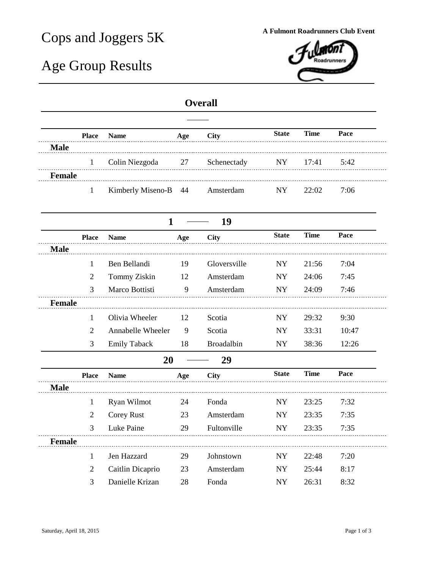## Cops and Joggers 5K **A Fulmont Roadrunners Club Event**

## Age Group Results



## **Overall**

|               | <b>Place</b>   | <b>Name</b>         | Age | <b>City</b>       | <b>State</b> | <b>Time</b> | Pace  |
|---------------|----------------|---------------------|-----|-------------------|--------------|-------------|-------|
| <b>Male</b>   |                |                     |     |                   |              |             |       |
|               | $\mathbf{1}$   | Colin Niezgoda      | 27  | Schenectady       | <b>NY</b>    | 17:41       | 5:42  |
| <b>Female</b> |                |                     |     |                   |              |             |       |
|               | $\mathbf{1}$   | Kimberly Miseno-B   | 44  | Amsterdam         | <b>NY</b>    | 22:02       | 7:06  |
|               |                | $\mathbf{1}$        |     | 19                |              |             |       |
|               | <b>Place</b>   | <b>Name</b>         | Age | <b>City</b>       | <b>State</b> | <b>Time</b> | Pace  |
| <b>Male</b>   |                |                     |     |                   |              |             |       |
|               | 1              | Ben Bellandi        | 19  | Gloversville      | <b>NY</b>    | 21:56       | 7:04  |
|               | $\overline{2}$ | Tommy Ziskin        | 12  | Amsterdam         | ${\rm NY}$   | 24:06       | 7:45  |
|               | 3              | Marco Bottisti      | 9   | Amsterdam         | NY           | 24:09       | 7:46  |
| <b>Female</b> |                |                     |     |                   |              |             |       |
|               | $\mathbf{1}$   | Olivia Wheeler      | 12  | Scotia            | <b>NY</b>    | 29:32       | 9:30  |
|               | 2              | Annabelle Wheeler   | 9   | Scotia            | <b>NY</b>    | 33:31       | 10:47 |
|               | 3              | <b>Emily Taback</b> | 18  | <b>Broadalbin</b> | ${\rm NY}$   | 38:36       | 12:26 |
|               |                | 20                  |     | 29                |              |             |       |
|               | <b>Place</b>   | <b>Name</b>         | Age | <b>City</b>       | <b>State</b> | <b>Time</b> | Pace  |
| <b>Male</b>   |                |                     |     |                   |              |             |       |
|               | $\mathbf{1}$   | Ryan Wilmot         | 24  | Fonda             | NY           | 23:25       | 7:32  |
|               | $\overline{2}$ | <b>Corey Rust</b>   | 23  | Amsterdam         | <b>NY</b>    | 23:35       | 7:35  |
|               | 3              | Luke Paine          | 29  | Fultonville       | ${\rm NY}$   | 23:35       | 7:35  |
| <b>Female</b> |                |                     |     |                   |              |             |       |
|               | 1              | Jen Hazzard         | 29  | Johnstown         | NY           | 22:48       | 7:20  |
|               | 2              | Caitlin Dicaprio    | 23  | Amsterdam         | <b>NY</b>    | 25:44       | 8:17  |
|               | 3              | Danielle Krizan     | 28  | Fonda             | <b>NY</b>    | 26:31       | 8:32  |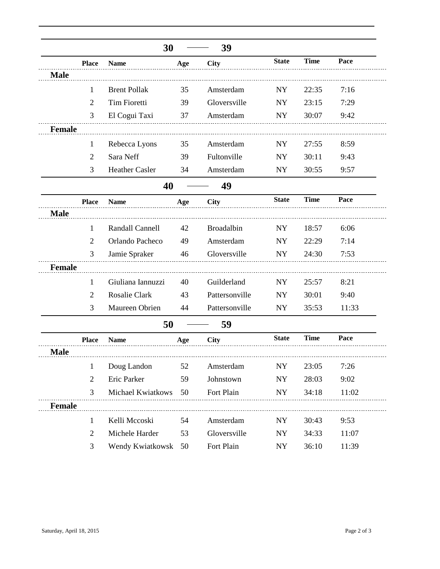|               |                | 30                  |     | 39             |              |             |       |
|---------------|----------------|---------------------|-----|----------------|--------------|-------------|-------|
|               | <b>Place</b>   | <b>Name</b>         | Age | <b>City</b>    | <b>State</b> | <b>Time</b> | Pace  |
| <b>Male</b>   |                |                     |     |                |              |             |       |
|               | $\mathbf{1}$   | <b>Brent Pollak</b> | 35  | Amsterdam      | <b>NY</b>    | 22:35       | 7:16  |
|               | $\overline{2}$ | <b>Tim Fioretti</b> | 39  | Gloversville   | <b>NY</b>    | 23:15       | 7:29  |
|               | 3              | El Cogui Taxi       | 37  | Amsterdam      | NY.          | 30:07       | 9:42  |
| <b>Female</b> |                |                     |     |                |              |             |       |
|               | 1              | Rebecca Lyons       | 35  | Amsterdam      | <b>NY</b>    | 27:55       | 8:59  |
|               | 2              | Sara Neff           | 39  | Fultonville    | <b>NY</b>    | 30:11       | 9:43  |
|               | 3              | Heather Casler      | 34  | Amsterdam      | <b>NY</b>    | 30:55       | 9:57  |
|               |                | 40                  |     | 49             |              |             |       |
|               | <b>Place</b>   | <b>Name</b>         | Age | <b>City</b>    | <b>State</b> | <b>Time</b> | Pace  |
| <b>Male</b>   |                |                     |     |                |              |             |       |
|               | 1              | Randall Cannell     | 42  | Broadalbin     | NY           | 18:57       | 6:06  |
|               | $\overline{2}$ | Orlando Pacheco     | 49  | Amsterdam      | <b>NY</b>    | 22:29       | 7:14  |
|               | 3              | Jamie Spraker       | 46  | Gloversville   | NY           | 24:30       | 7:53  |
| <b>Female</b> |                |                     |     |                |              |             |       |
|               | 1              | Giuliana Iannuzzi   | 40  | Guilderland    | <b>NY</b>    | 25:57       | 8:21  |
|               | 2              | Rosalie Clark       | 43  | Pattersonville | <b>NY</b>    | 30:01       | 9:40  |
|               | 3              | Maureen Obrien      | 44  | Pattersonville | <b>NY</b>    | 35:53       | 11:33 |
|               |                | 50                  |     | 59             |              |             |       |
|               | <b>Place</b>   | <b>Name</b>         | Age | <b>City</b>    | <b>State</b> | <b>Time</b> | Pace  |
| <b>Male</b>   |                |                     |     |                |              |             |       |
|               | $\mathbf{1}$   | Doug Landon         | 52  | Amsterdam      | NY           | 23:05       | 7:26  |
|               | $\overline{2}$ | Eric Parker         | 59  | Johnstown      | NY           | 28:03       | 9:02  |
|               | 3              | Michael Kwiatkows   | 50  | Fort Plain     | NY           | 34:18       | 11:02 |
| <b>Female</b> |                |                     |     |                |              |             |       |
|               | $\mathbf{1}$   | Kelli Mccoski       | 54  | Amsterdam      | NY           | 30:43       | 9:53  |
|               | $\overline{2}$ | Michele Harder      | 53  | Gloversville   | <b>NY</b>    | 34:33       | 11:07 |
|               | 3              | Wendy Kwiatkowsk    | 50  | Fort Plain     | ${\rm NY}$   | 36:10       | 11:39 |